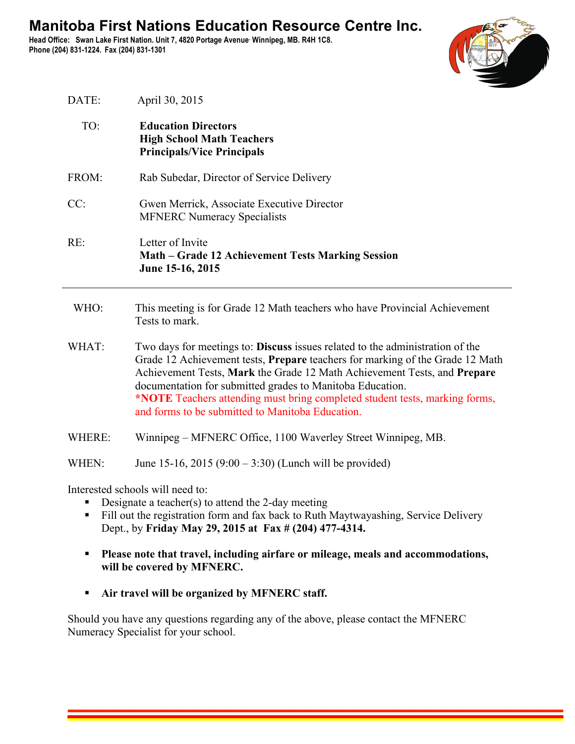**Head Office: Swan Lake First Nation. Unit 7, 4820 Portage Avenue. Winnipeg, MB. R4H 1C8. Phone (204) 831-1224. Fax (204) 831-1301**



| DATE:  | April 30, 2015                                                                                                                                                                                                                                                                                                                                                                                                                             |
|--------|--------------------------------------------------------------------------------------------------------------------------------------------------------------------------------------------------------------------------------------------------------------------------------------------------------------------------------------------------------------------------------------------------------------------------------------------|
| TO:    | <b>Education Directors</b><br><b>High School Math Teachers</b><br><b>Principals/Vice Principals</b>                                                                                                                                                                                                                                                                                                                                        |
| FROM:  | Rab Subedar, Director of Service Delivery                                                                                                                                                                                                                                                                                                                                                                                                  |
| CC:    | Gwen Merrick, Associate Executive Director<br><b>MFNERC Numeracy Specialists</b>                                                                                                                                                                                                                                                                                                                                                           |
| RE:    | Letter of Invite<br>Math – Grade 12 Achievement Tests Marking Session<br>June 15-16, 2015                                                                                                                                                                                                                                                                                                                                                  |
| WHO:   | This meeting is for Grade 12 Math teachers who have Provincial Achievement<br>Tests to mark.                                                                                                                                                                                                                                                                                                                                               |
| WHAT:  | Two days for meetings to: Discuss issues related to the administration of the<br>Grade 12 Achievement tests, Prepare teachers for marking of the Grade 12 Math<br>Achievement Tests, Mark the Grade 12 Math Achievement Tests, and Prepare<br>documentation for submitted grades to Manitoba Education.<br>*NOTE Teachers attending must bring completed student tests, marking forms,<br>and forms to be submitted to Manitoba Education. |
| WHERE: | Winnipeg – MFNERC Office, 1100 Waverley Street Winnipeg, MB.                                                                                                                                                                                                                                                                                                                                                                               |
| WHEN:  | June 15-16, 2015 $(9:00 - 3:30)$ (Lunch will be provided)                                                                                                                                                                                                                                                                                                                                                                                  |

Interested schools will need to:

- Designate a teacher(s) to attend the 2-day meeting
- Fill out the registration form and fax back to Ruth Maytwayashing, Service Delivery Dept., by **Friday May 29, 2015 at Fax # (204) 477-4314.**
- § **Please note that travel, including airfare or mileage, meals and accommodations, will be covered by MFNERC.**
- § **Air travel will be organized by MFNERC staff.**

Should you have any questions regarding any of the above, please contact the MFNERC Numeracy Specialist for your school.